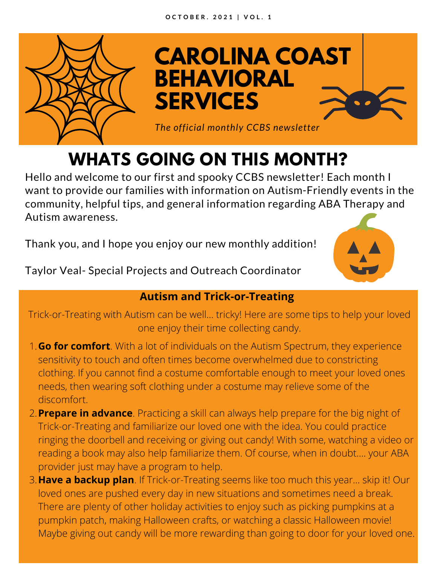

**CAROLINA COAST BEHAVIORAL SERVICES**

*The official monthly CCBS newsletter*

# **WHATS GOING ON THIS MONTH?**

Hello and welcome to our first and spooky CCBS newsletter! Each month I want to provide our families with information on Autism-Friendly events in the community, helpful tips, and general information regarding ABA Therapy and Autism awareness.

Thank you, and I hope you enjoy our new monthly addition!

Taylor Veal- Special Projects and Outreach Coordinator



### **Autism and Trick-or-Treating**

Trick-or-Treating with Autism can be well... tricky! Here are some tips to help your loved one enjoy their time collecting candy.

- **Go for comfort**. With a lot of individuals on the Autism Spectrum, they experience 1. sensitivity to touch and often times become overwhelmed due to constricting clothing. If you cannot find a costume comfortable enough to meet your loved ones needs, then wearing soft clothing under a costume may relieve some of the discomfort.
- **Prepare in advance**. Practicing a skill can always help prepare for the big night of 2. Trick-or-Treating and familiarize our loved one with the idea. You could practice ringing the doorbell and receiving or giving out candy! With some, watching a video or reading a book may also help familiarize them. Of course, when in doubt.... your ABA provider just may have a program to help.
- **Have a backup plan**. If Trick-or-Treating seems like too much this year... skip it! Our 3. loved ones are pushed every day in new situations and sometimes need a break. There are plenty of other holiday activities to enjoy such as picking pumpkins at a pumpkin patch, making Halloween crafts, or watching a classic Halloween movie! Maybe giving out candy will be more rewarding than going to door for your loved one.